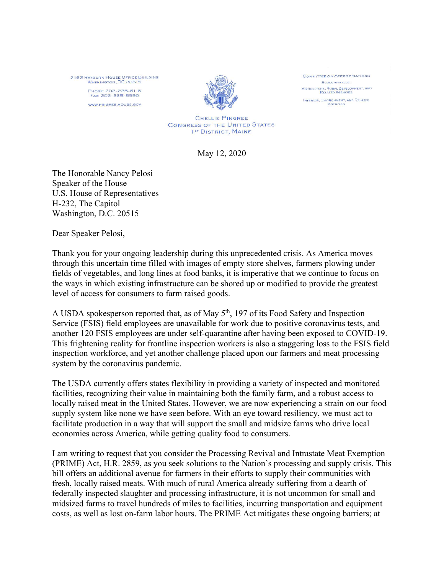2162 RAYBURN HOUSE OFFICE BUILDING<br>WASHINGTON, DC 20515 PHONE: 202-225-6116<br>Fax: 202-225-5590

WWW.PINGREE.HOUSE.GOV



**COMMITTEE ON APPROPRIATIONS** SUBCOMMITTEES: AGRICULTURE, RURAL DEVELOPMENT, AND INTERIOR, ENVIRONMENT, AND RELATED **AGENCIES** 

CHELLIE PINGREE **CONGRESS OF THE UNITED STATES** IST DISTRICT, MAINE

May 12, 2020

The Honorable Nancy Pelosi Speaker of the House U.S. House of Representatives H-232, The Capitol Washington, D.C. 20515

Dear Speaker Pelosi,

Thank you for your ongoing leadership during this unprecedented crisis. As America moves through this uncertain time filled with images of empty store shelves, farmers plowing under fields of vegetables, and long lines at food banks, it is imperative that we continue to focus on the ways in which existing infrastructure can be shored up or modified to provide the greatest level of access for consumers to farm raised goods.

A USDA spokesperson reported that, as of May 5<sup>th</sup>, 197 of its Food Safety and Inspection Service (FSIS) field employees are unavailable for work due to positive coronavirus tests, and another 120 FSIS employees are under self-quarantine after having been exposed to COVID-19. This frightening reality for frontline inspection workers is also a staggering loss to the FSIS field inspection workforce, and yet another challenge placed upon our farmers and meat processing system by the coronavirus pandemic.

The USDA currently offers states flexibility in providing a variety of inspected and monitored facilities, recognizing their value in maintaining both the family farm, and a robust access to locally raised meat in the United States. However, we are now experiencing a strain on our food supply system like none we have seen before. With an eye toward resiliency, we must act to facilitate production in a way that will support the small and midsize farms who drive local economies across America, while getting quality food to consumers.

I am writing to request that you consider the Processing Revival and Intrastate Meat Exemption (PRIME) Act, H.R. 2859, as you seek solutions to the Nation's processing and supply crisis. This bill offers an additional avenue for farmers in their efforts to supply their communities with fresh, locally raised meats. With much of rural America already suffering from a dearth of federally inspected slaughter and processing infrastructure, it is not uncommon for small and midsized farms to travel hundreds of miles to facilities, incurring transportation and equipment costs, as well as lost on-farm labor hours. The PRIME Act mitigates these ongoing barriers; at